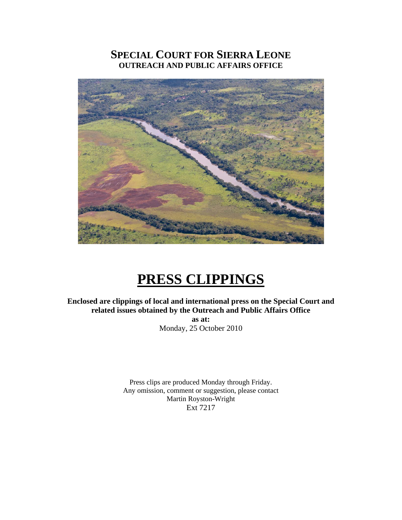# **SPECIAL COURT FOR SIERRA LEONE OUTREACH AND PUBLIC AFFAIRS OFFICE**



# **PRESS CLIPPINGS**

**Enclosed are clippings of local and international press on the Special Court and related issues obtained by the Outreach and Public Affairs Office** 

> **as at:**  Monday, 25 October 2010

Press clips are produced Monday through Friday. Any omission, comment or suggestion, please contact Martin Royston-Wright Ext 7217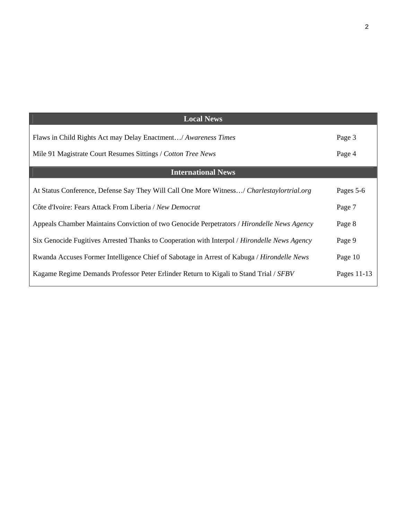| <b>Local News</b>                                                                            |             |
|----------------------------------------------------------------------------------------------|-------------|
| Flaws in Child Rights Act may Delay Enactment/ Awareness Times                               | Page 3      |
| Mile 91 Magistrate Court Resumes Sittings / Cotton Tree News                                 | Page 4      |
| <b>International News</b>                                                                    |             |
| At Status Conference, Defense Say They Will Call One More Witness/ Charlestaylortrial.org    | Pages 5-6   |
| Côte d'Ivoire: Fears Attack From Liberia / New Democrat                                      | Page 7      |
| Appeals Chamber Maintains Conviction of two Genocide Perpetrators / Hirondelle News Agency   | Page 8      |
| Six Genocide Fugitives Arrested Thanks to Cooperation with Interpol / Hirondelle News Agency | Page 9      |
| Rwanda Accuses Former Intelligence Chief of Sabotage in Arrest of Kabuga / Hirondelle News   | Page 10     |
| Kagame Regime Demands Professor Peter Erlinder Return to Kigali to Stand Trial / SFBV        | Pages 11-13 |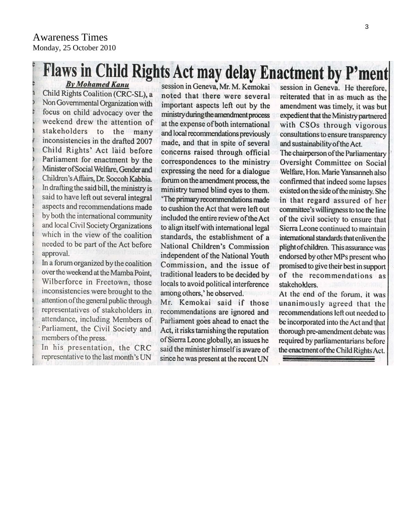# Flaws in Child Rights Act may delay Enactment by P'ment **By Mohamed Kanu**

Child Rights Coalition (CRC-SL), a Non Governmental Organization with focus on child advocacy over the weekend drew the attention of stakeholders to the many inconsistencies in the drafted 2007 Child Rights' Act laid before Parliament for enactment by the Minister of Social Welfare, Gender and Children's Affairs, Dr. Soccoh Kabbia. In drafting the said bill, the ministry is said to have left out several integral aspects and recommendations made by both the international community and local Civil Society Organizations which in the view of the coalition needed to be part of the Act before approval.

In a forum organized by the coalition over the weekend at the Mamba Point, Wilberforce in Freetown, those inconsistencies were brought to the attention of the general public through representatives of stakeholders in attendance, including Members of Parliament, the Civil Society and members of the press.

In his presentation, the CRC representative to the last month's UN

session in Geneva, Mr. M. Kemokai noted that there were several important aspects left out by the ministry during the amendment process at the expense of both international and local recommendations previously made, and that in spite of several concerns raised through official correspondences to the ministry expressing the need for a dialogue forum on the amendment process, the ministry turned blind eyes to them. 'The primary recommendations made to cushion the Act that were left out included the entire review of the Act to align itself with international legal standards, the establishment of a National Children's Commission independent of the National Youth Commission, and the issue of traditional leaders to be decided by locals to avoid political interference among others,' he observed.

Mr. Kemokai said if those recommendations are ignored and Parliament goes ahead to enact the Act, it risks tarnishing the reputation of Sierra Leone globally, an issues he said the minister himself is aware of since he was present at the recent UN

session in Geneva. He therefore. reiterated that in as much as the amendment was timely, it was but expedient that the Ministry partnered with CSOs through vigorous consultations to ensure transparency and sustainability of the Act.

The chairperson of the Parliamentary Oversight Committee on Social Welfare, Hon. Marie Yansanneh also confirmed that indeed some lapses existed on the side of the ministry. She in that regard assured of her committee's willingness to toe the line of the civil society to ensure that Sierra Leone continued to maintain international standards that enliven the plight of children. This assurance was endorsed by other MPs present who promised to give their best in support of the recommendations as stakeholders.

At the end of the forum, it was unanimously agreed that the recommendations left out needed to be incorporated into the Act and that thorough pre-amendment debate was required by parliamentarians before the enactment of the Child Rights Act.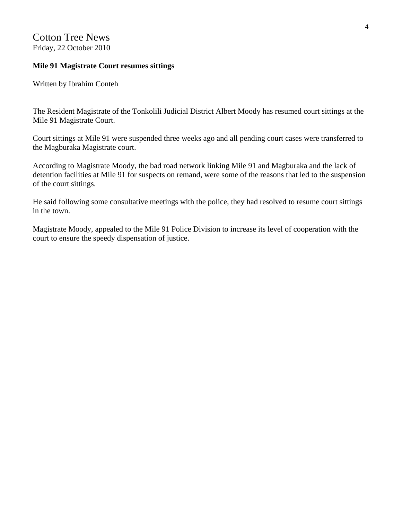## Cotton Tree News Friday, 22 October 2010

#### **Mile 91 Magistrate Court resumes sittings**

Written by Ibrahim Conteh

The Resident Magistrate of the Tonkolili Judicial District Albert Moody has resumed court sittings at the Mile 91 Magistrate Court.

Court sittings at Mile 91 were suspended three weeks ago and all pending court cases were transferred to the Magburaka Magistrate court.

According to Magistrate Moody, the bad road network linking Mile 91 and Magburaka and the lack of detention facilities at Mile 91 for suspects on remand, were some of the reasons that led to the suspension of the court sittings.

He said following some consultative meetings with the police, they had resolved to resume court sittings in the town.

Magistrate Moody, appealed to the Mile 91 Police Division to increase its level of cooperation with the court to ensure the speedy dispensation of justice.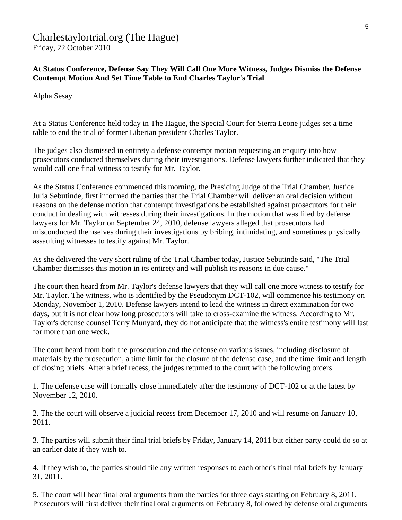#### Charlestaylortrial.org (The Hague) Friday, 22 October 2010

**At Status Conference, Defense Say They Will Call One More Witness, Judges Dismiss the Defense Contempt Motion And Set Time Table to End Charles Taylor's Trial** 

Alpha Sesay

At a Status Conference held today in The Hague, the Special Court for Sierra Leone judges set a time table to end the trial of former Liberian president Charles Taylor.

The judges also dismissed in entirety a defense contempt motion requesting an enquiry into how prosecutors conducted themselves during their investigations. Defense lawyers further indicated that they would call one final witness to testify for Mr. Taylor.

As the Status Conference commenced this morning, the Presiding Judge of the Trial Chamber, Justice Julia Sebutinde, first informed the parties that the Trial Chamber will deliver an oral decision without reasons on the defense motion that contempt investigations be established against prosecutors for their conduct in dealing with witnesses during their investigations. In the motion that was filed by defense lawyers for Mr. Taylor on September 24, 2010, defense lawyers alleged that prosecutors had misconducted themselves during their investigations by bribing, intimidating, and sometimes physically assaulting witnesses to testify against Mr. Taylor.

As she delivered the very short ruling of the Trial Chamber today, Justice Sebutinde said, "The Trial Chamber dismisses this motion in its entirety and will publish its reasons in due cause."

The court then heard from Mr. Taylor's defense lawyers that they will call one more witness to testify for Mr. Taylor. The witness, who is identified by the Pseudonym DCT-102, will commence his testimony on Monday, November 1, 2010. Defense lawyers intend to lead the witness in direct examination for two days, but it is not clear how long prosecutors will take to cross-examine the witness. According to Mr. Taylor's defense counsel Terry Munyard, they do not anticipate that the witness's entire testimony will last for more than one week.

The court heard from both the prosecution and the defense on various issues, including disclosure of materials by the prosecution, a time limit for the closure of the defense case, and the time limit and length of closing briefs. After a brief recess, the judges returned to the court with the following orders.

1. The defense case will formally close immediately after the testimony of DCT-102 or at the latest by November 12, 2010.

2. The the court will observe a judicial recess from December 17, 2010 and will resume on January 10, 2011.

3. The parties will submit their final trial briefs by Friday, January 14, 2011 but either party could do so at an earlier date if they wish to.

4. If they wish to, the parties should file any written responses to each other's final trial briefs by January 31, 2011.

5. The court will hear final oral arguments from the parties for three days starting on February 8, 2011. Prosecutors will first deliver their final oral arguments on February 8, followed by defense oral arguments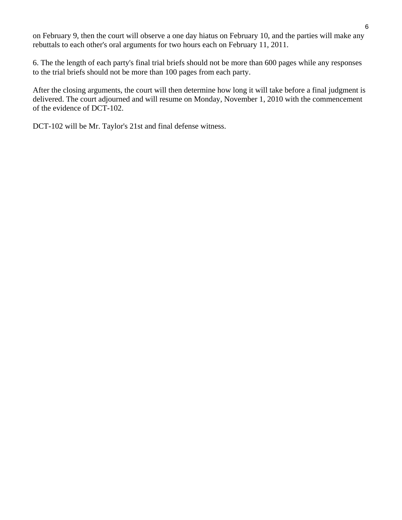on February 9, then the court will observe a one day hiatus on February 10, and the parties will make any rebuttals to each other's oral arguments for two hours each on February 11, 2011.

6. The the length of each party's final trial briefs should not be more than 600 pages while any responses to the trial briefs should not be more than 100 pages from each party.

After the closing arguments, the court will then determine how long it will take before a final judgment is delivered. The court adjourned and will resume on Monday, November 1, 2010 with the commencement of the evidence of DCT-102.

DCT-102 will be Mr. Taylor's 21st and final defense witness.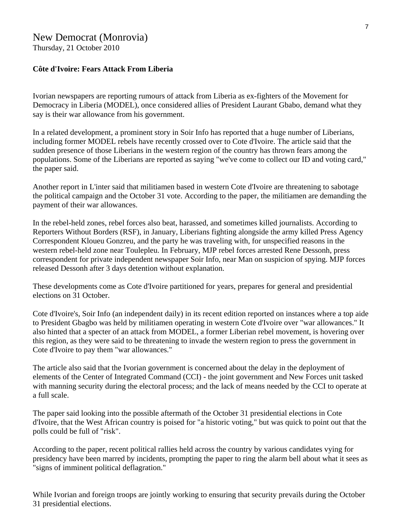# New Democrat (Monrovia)

Thursday, 21 October 2010

#### **Côte d'Ivoire: Fears Attack From Liberia**

Ivorian newspapers are reporting rumours of attack from Liberia as ex-fighters of the Movement for Democracy in Liberia (MODEL), once considered allies of President Laurant Gbabo, demand what they say is their war allowance from his government.

In a related development, a prominent story in Soir Info has reported that a huge number of Liberians, including former MODEL rebels have recently crossed over to Cote d'Ivoire. The article said that the sudden presence of those Liberians in the western region of the country has thrown fears among the populations. Some of the Liberians are reported as saying "we've come to collect our ID and voting card," the paper said.

Another report in L'inter said that militiamen based in western Cote d'Ivoire are threatening to sabotage the political campaign and the October 31 vote. According to the paper, the militiamen are demanding the payment of their war allowances.

In the rebel-held zones, rebel forces also beat, harassed, and sometimes killed journalists. According to Reporters Without Borders (RSF), in January, Liberians fighting alongside the army killed Press Agency Correspondent Kloueu Gonzreu, and the party he was traveling with, for unspecified reasons in the western rebel-held zone near Toulepleu. In February, MJP rebel forces arrested Rene Dessonh, press correspondent for private independent newspaper Soir Info, near Man on suspicion of spying. MJP forces released Dessonh after 3 days detention without explanation.

These developments come as Cote d'Ivoire partitioned for years, prepares for general and presidential elections on 31 October.

Cote d'Ivoire's, Soir Info (an independent daily) in its recent edition reported on instances where a top aide to President Gbagbo was held by militiamen operating in western Cote d'Ivoire over "war allowances." It also hinted that a specter of an attack from MODEL, a former Liberian rebel movement, is hovering over this region, as they were said to be threatening to invade the western region to press the government in Cote d'Ivoire to pay them "war allowances."

The article also said that the Ivorian government is concerned about the delay in the deployment of elements of the Center of Integrated Command (CCI) - the joint government and New Forces unit tasked with manning security during the electoral process; and the lack of means needed by the CCI to operate at a full scale.

The paper said looking into the possible aftermath of the October 31 presidential elections in Cote d'Ivoire, that the West African country is poised for "a historic voting," but was quick to point out that the polls could be full of "risk".

According to the paper, recent political rallies held across the country by various candidates vying for presidency have been marred by incidents, prompting the paper to ring the alarm bell about what it sees as "signs of imminent political deflagration."

While Ivorian and foreign troops are jointly working to ensuring that security prevails during the October 31 presidential elections.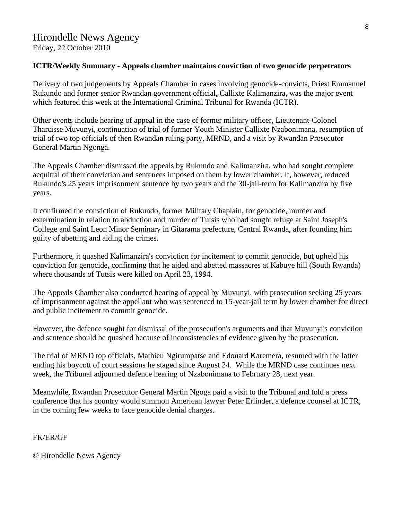#### **ICTR/Weekly Summary - Appeals chamber maintains conviction of two genocide perpetrators**

Delivery of two judgements by Appeals Chamber in cases involving genocide-convicts, Priest Emmanuel Rukundo and former senior Rwandan government official, Callixte Kalimanzira, was the major event which featured this week at the International Criminal Tribunal for Rwanda (ICTR).

Other events include hearing of appeal in the case of former military officer, Lieutenant-Colonel Tharcisse Muvunyi, continuation of trial of former Youth Minister Callixte Nzabonimana, resumption of trial of two top officials of then Rwandan ruling party, MRND, and a visit by Rwandan Prosecutor General Martin Ngonga.

The Appeals Chamber dismissed the appeals by Rukundo and Kalimanzira, who had sought complete acquittal of their conviction and sentences imposed on them by lower chamber. It, however, reduced Rukundo's 25 years imprisonment sentence by two years and the 30-jail-term for Kalimanzira by five years.

It confirmed the conviction of Rukundo, former Military Chaplain, for genocide, murder and extermination in relation to abduction and murder of Tutsis who had sought refuge at Saint Joseph's College and Saint Leon Minor Seminary in Gitarama prefecture, Central Rwanda, after founding him guilty of abetting and aiding the crimes.

Furthermore, it quashed Kalimanzira's conviction for incitement to commit genocide, but upheld his conviction for genocide, confirming that he aided and abetted massacres at Kabuye hill (South Rwanda) where thousands of Tutsis were killed on April 23, 1994.

The Appeals Chamber also conducted hearing of appeal by Muvunyi, with prosecution seeking 25 years of imprisonment against the appellant who was sentenced to 15-year-jail term by lower chamber for direct and public incitement to commit genocide.

However, the defence sought for dismissal of the prosecution's arguments and that Muvunyi's conviction and sentence should be quashed because of inconsistencies of evidence given by the prosecution.

The trial of MRND top officials, Mathieu Ngirumpatse and Edouard Karemera, resumed with the latter ending his boycott of court sessions he staged since August 24. While the MRND case continues next week, the Tribunal adjourned defence hearing of Nzabonimana to February 28, next year.

Meanwhile, Rwandan Prosecutor General Martin Ngoga paid a visit to the Tribunal and told a press conference that his country would summon American lawyer Peter Erlinder, a defence counsel at ICTR, in the coming few weeks to face genocide denial charges.

FK/ER/GF

© Hirondelle News Agency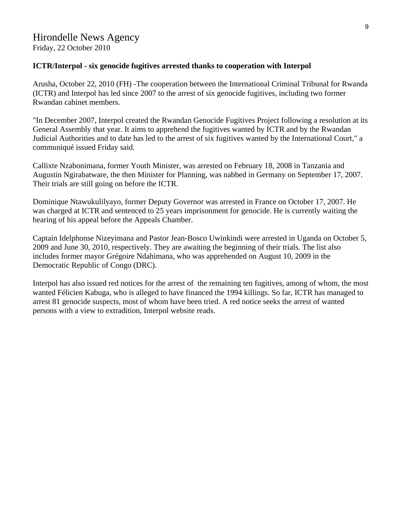#### **ICTR/Interpol - six genocide fugitives arrested thanks to cooperation with Interpol**

Arusha, October 22, 2010 (FH) -The cooperation between the International Criminal Tribunal for Rwanda (ICTR) and Interpol has led since 2007 to the arrest of six genocide fugitives, including two former Rwandan cabinet members.

"In December 2007, Interpol created the Rwandan Genocide Fugitives Project following a resolution at its General Assembly that year. It aims to apprehend the fugitives wanted by ICTR and by the Rwandan Judicial Authorities and to date has led to the arrest of six fugitives wanted by the International Court," a communiqué issued Friday said.

Callixte Nzabonimana, former Youth Minister, was arrested on February 18, 2008 in Tanzania and Augustin Ngirabatware, the then Minister for Planning, was nabbed in Germany on September 17, 2007. Their trials are still going on before the ICTR.

Dominique Ntawukulilyayo, former Deputy Governor was arrested in France on October 17, 2007. He was charged at ICTR and sentenced to 25 years imprisonment for genocide. He is currently waiting the hearing of his appeal before the Appeals Chamber.

Captain Idelphonse Nizeyimana and Pastor Jean-Bosco Uwinkindi were arrested in Uganda on October 5, 2009 and June 30, 2010, respectively. They are awaiting the beginning of their trials. The list also includes former mayor Grégoire Ndahimana, who was apprehended on August 10, 2009 in the Democratic Republic of Congo (DRC).

Interpol has also issued red notices for the arrest of the remaining ten fugitives, among of whom, the most wanted Félicien Kabuga, who is alleged to have financed the 1994 killings. So far, ICTR has managed to arrest 81 genocide suspects, most of whom have been tried. A red notice seeks the arrest of wanted persons with a view to extradition, Interpol website reads.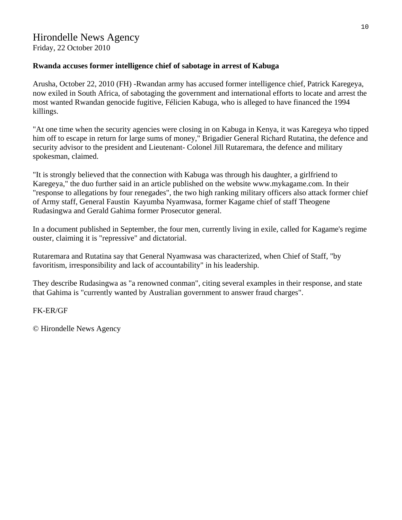Friday, 22 October 2010

### **Rwanda accuses former intelligence chief of sabotage in arrest of Kabuga**

Arusha, October 22, 2010 (FH) -Rwandan army has accused former intelligence chief, Patrick Karegeya, now exiled in South Africa, of sabotaging the government and international efforts to locate and arrest the most wanted Rwandan genocide fugitive, Félicien Kabuga, who is alleged to have financed the 1994 killings.

"At one time when the security agencies were closing in on Kabuga in Kenya, it was Karegeya who tipped him off to escape in return for large sums of money," Brigadier General Richard Rutatina, the defence and security advisor to the president and Lieutenant- Colonel Jill Rutaremara, the defence and military spokesman, claimed.

"It is strongly believed that the connection with Kabuga was through his daughter, a girlfriend to Karegeya," the duo further said in an article published on the website www.mykagame.com. In their "response to allegations by four renegades", the two high ranking military officers also attack former chief of Army staff, General Faustin Kayumba Nyamwasa, former Kagame chief of staff Theogene Rudasingwa and Gerald Gahima former Prosecutor general.

In a document published in September, the four men, currently living in exile, called for Kagame's regime ouster, claiming it is "repressive" and dictatorial.

Rutaremara and Rutatina say that General Nyamwasa was characterized, when Chief of Staff, "by favoritism, irresponsibility and lack of accountability" in his leadership.

They describe Rudasingwa as "a renowned conman", citing several examples in their response, and state that Gahima is "currently wanted by Australian government to answer fraud charges".

FK-ER/GF

© Hirondelle News Agency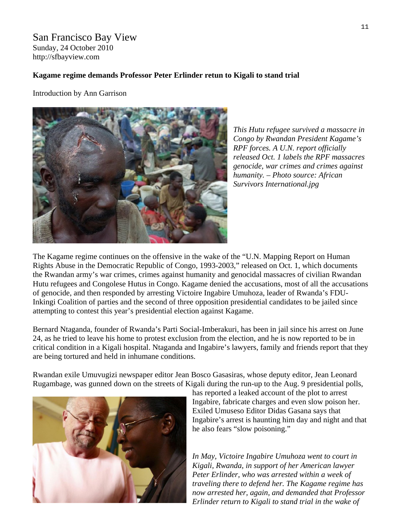San Francisco Bay View Sunday, 24 October 2010 http://sfbayview.com

#### **[Kagame regime demands Professor Peter Erlinder retun to Kigali to stand trial](http://sfbayview.com/2010/kagame-regime-demands-professor-peter-erlinder-retun-to-kigali-to-stand-trial/)**

Introduction by Ann Garrison



*This Hutu refugee survived a massacre in Congo by Rwandan President Kagame's RPF forces. A U.N. report officially released Oct. 1 labels the RPF massacres genocide, war crimes and crimes against humanity. – Photo source: African Survivors International.jpg* 

The Kagame regime continues on the offensive in the wake of the "U.N. Mapping Report on Human Rights Abuse in the Democratic Republic of Congo, 1993-2003," released on Oct. 1, which documents the Rwandan army's war crimes, crimes against humanity and genocidal massacres of civilian Rwandan Hutu refugees and Congolese Hutus in Congo. Kagame denied the accusations, most of all the accusations of genocide, and then responded by arresting Victoire Ingabire Umuhoza, leader of Rwanda's FDU-Inkingi Coalition of parties and the second of three opposition presidential candidates to be jailed since attempting to contest this year's presidential election against Kagame.

Bernard Ntaganda, founder of Rwanda's Parti Social-Imberakuri, has been in jail since his arrest on June 24, as he tried to leave his home to protest exclusion from the election, and he is now reported to be in critical condition in a Kigali hospital. Ntaganda and Ingabire's lawyers, family and friends report that they are being tortured and held in inhumane conditions.

Rwandan exile Umuvugizi newspaper editor Jean Bosco Gasasiras, whose deputy editor, Jean Leonard Rugambage, was gunned down on the streets of Kigali during the run-up to the Aug. 9 presidential polls,



has [reported a leaked account of the plot to arrest](http://africannewsanalysis.blogspot.com/2010/10/leaked-rwandan-secret-services-alleged.html)  [Ingabire, fabricate charges and even slow poison her.](http://africannewsanalysis.blogspot.com/2010/10/leaked-rwandan-secret-services-alleged.html) Exiled [Umuseso Editor Didas Gasana](http://www.blogger.com/) says that Ingabire's arrest is haunting him day and night and that he also fears "slow poisoning."

*In May, Victoire Ingabire Umuhoza went to court in Kigali, Rwanda, in support of her American lawyer Peter Erlinder, who was arrested within a week of traveling there to defend her. The Kagame regime has now arrested her, again, and demanded that Professor Erlinder return to Kigali to stand trial in the wake of*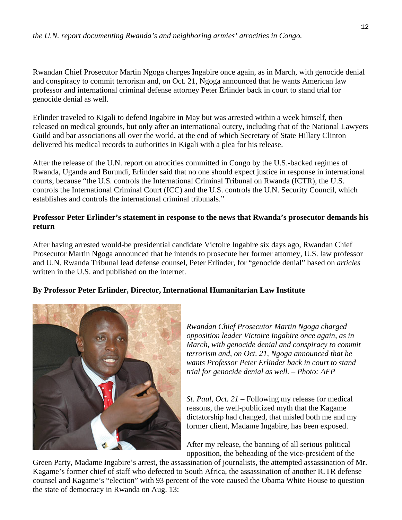Rwandan Chief Prosecutor Martin Ngoga charges Ingabire once again, as in March, with genocide denial and conspiracy to commit terrorism and, on Oct. 21, Ngoga announced that he wants American law professor and international criminal defense attorney Peter Erlinder back in court to stand trial for genocide denial as well.

Erlinder traveled to Kigali to defend Ingabire in May but was arrested within a week himself, then released on medical grounds, but only after an international outcry, including that of the National Lawyers Guild and bar associations all over the world, at the end of which Secretary of State Hillary Clinton delivered his medical records to authorities in Kigali with a plea for his release.

After the release of the U.N. report on atrocities committed in Congo by the U.S.-backed regimes of Rwanda, Uganda and Burundi, Erlinder said that no one should expect justice in response in international courts, because "the U.S. controls the International Criminal Tribunal on Rwanda (ICTR), the U.S. controls the International Criminal Court (ICC) and the U.S. controls the U.N. Security Council, which establishes and controls the international criminal tribunals."

#### **Professor Peter Erlinder's statement in response to the news that Rwanda's prosecutor demands his return**

After having arrested would-be presidential candidate Victoire Ingabire six days ago, Rwandan Chief Prosecutor Martin Ngoga announced that he intends to prosecute her former attorney, U.S. law professor and U.N. Rwanda Tribunal lead defense counsel, Peter Erlinder, for "genocide denial" based on *[articles](http://www.washingtonpost.com/wp-dyn/content/article/2010/10/22/AR2010102205211.html)* written in the U.S. and published on the internet.

#### **By Professor Peter Erlinder, Director, International Humanitarian Law Institute**



*Rwandan Chief Prosecutor Martin Ngoga charged opposition leader Victoire Ingabire once again, as in March, with genocide denial and conspiracy to commit terrorism and, on Oct. 21, Ngoga announced that he wants Professor Peter Erlinder back in court to stand trial for genocide denial as well. – Photo: AFP* 

*St. Paul, Oct. 21* – Following my release for medical reasons, the well-publicized myth that the Kagame dictatorship had changed, that misled both me and my former client, Madame Ingabire, has been exposed.

After my release, the banning of all serious political opposition, the beheading of the vice-president of the

Green Party, Madame Ingabire's arrest, the assassination of journalists, the attempted assassination of Mr. Kagame's former chief of staff who defected to South Africa, the assassination of another ICTR defense counsel and Kagame's "election" with 93 percent of the vote caused the Obama White House to question the state of democracy in Rwanda on Aug. 13: